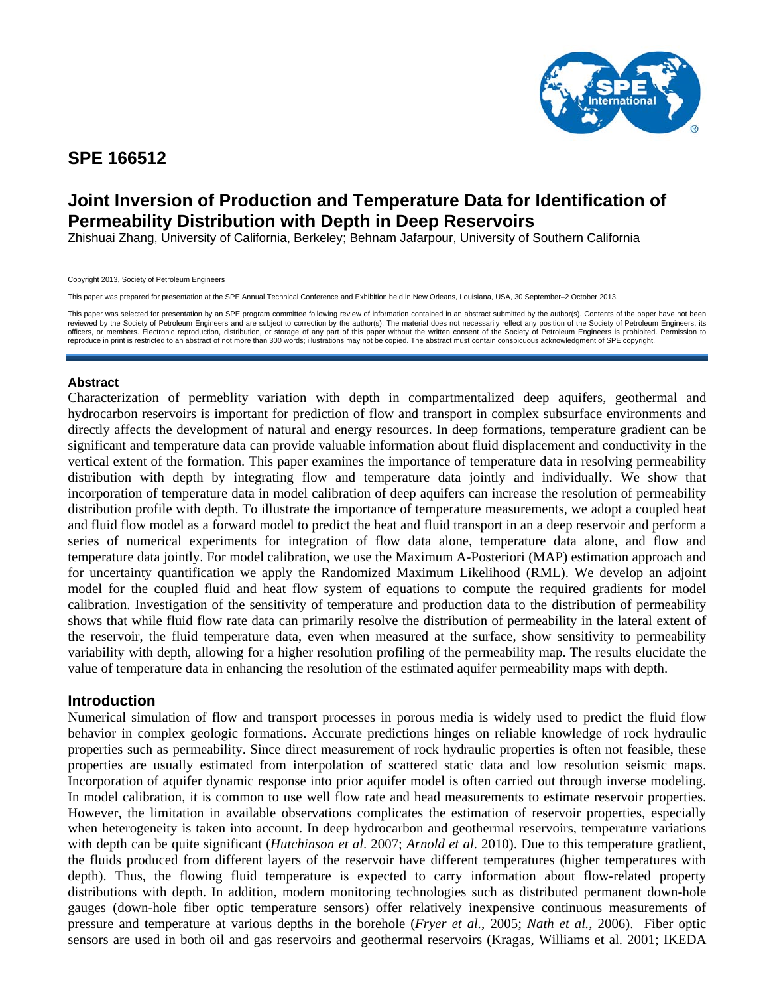

# **SPE 166512**

## **Joint Inversion of Production and Temperature Data for Identification of Permeability Distribution with Depth in Deep Reservoirs**

Zhishuai Zhang, University of California, Berkeley; Behnam Jafarpour, University of Southern California

Copyright 2013, Society of Petroleum Engineers

This paper was prepared for presentation at the SPE Annual Technical Conference and Exhibition held in New Orleans, Louisiana, USA, 30 September–2 October 2013.

This paper was selected for presentation by an SPE program committee following review of information contained in an abstract submitted by the author(s). Contents of the paper have not been reviewed by the Society of Petroleum Engineers and are subject to correction by the author(s). The material does not necessarily reflect any position of the Society of Petroleum Engineers, its officers, or members. Electronic reproduction, distribution, or storage of any part of this paper without the written consent of the Society of Petroleum Engineers is prohibited. Permission to reproduce in print is restricted to an abstract of not more than 300 words; illustrations may not be copied. The abstract must contain conspicuous acknowledgment of SPE copyright.

### **Abstract**

Characterization of permeblity variation with depth in compartmentalized deep aquifers, geothermal and hydrocarbon reservoirs is important for prediction of flow and transport in complex subsurface environments and directly affects the development of natural and energy resources. In deep formations, temperature gradient can be significant and temperature data can provide valuable information about fluid displacement and conductivity in the vertical extent of the formation. This paper examines the importance of temperature data in resolving permeability distribution with depth by integrating flow and temperature data jointly and individually. We show that incorporation of temperature data in model calibration of deep aquifers can increase the resolution of permeability distribution profile with depth. To illustrate the importance of temperature measurements, we adopt a coupled heat and fluid flow model as a forward model to predict the heat and fluid transport in an a deep reservoir and perform a series of numerical experiments for integration of flow data alone, temperature data alone, and flow and temperature data jointly. For model calibration, we use the Maximum A-Posteriori (MAP) estimation approach and for uncertainty quantification we apply the Randomized Maximum Likelihood (RML). We develop an adjoint model for the coupled fluid and heat flow system of equations to compute the required gradients for model calibration. Investigation of the sensitivity of temperature and production data to the distribution of permeability shows that while fluid flow rate data can primarily resolve the distribution of permeability in the lateral extent of the reservoir, the fluid temperature data, even when measured at the surface, show sensitivity to permeability variability with depth, allowing for a higher resolution profiling of the permeability map. The results elucidate the value of temperature data in enhancing the resolution of the estimated aquifer permeability maps with depth.

## **Introduction**

Numerical simulation of flow and transport processes in porous media is widely used to predict the fluid flow behavior in complex geologic formations. Accurate predictions hinges on reliable knowledge of rock hydraulic properties such as permeability. Since direct measurement of rock hydraulic properties is often not feasible, these properties are usually estimated from interpolation of scattered static data and low resolution seismic maps. Incorporation of aquifer dynamic response into prior aquifer model is often carried out through inverse modeling. In model calibration, it is common to use well flow rate and head measurements to estimate reservoir properties. However, the limitation in available observations complicates the estimation of reservoir properties, especially when heterogeneity is taken into account. In deep hydrocarbon and geothermal reservoirs, temperature variations with depth can be quite significant (*Hutchinson et al*. 2007; *Arnold et al*. 2010). Due to this temperature gradient, the fluids produced from different layers of the reservoir have different temperatures (higher temperatures with depth). Thus, the flowing fluid temperature is expected to carry information about flow-related property distributions with depth. In addition, modern monitoring technologies such as distributed permanent down-hole gauges (down-hole fiber optic temperature sensors) offer relatively inexpensive continuous measurements of pressure and temperature at various depths in the borehole (*Fryer et al.*, 2005; *Nath et al.*, 2006). Fiber optic sensors are used in both oil and gas reservoirs and geothermal reservoirs (Kragas, Williams et al. 2001; IKEDA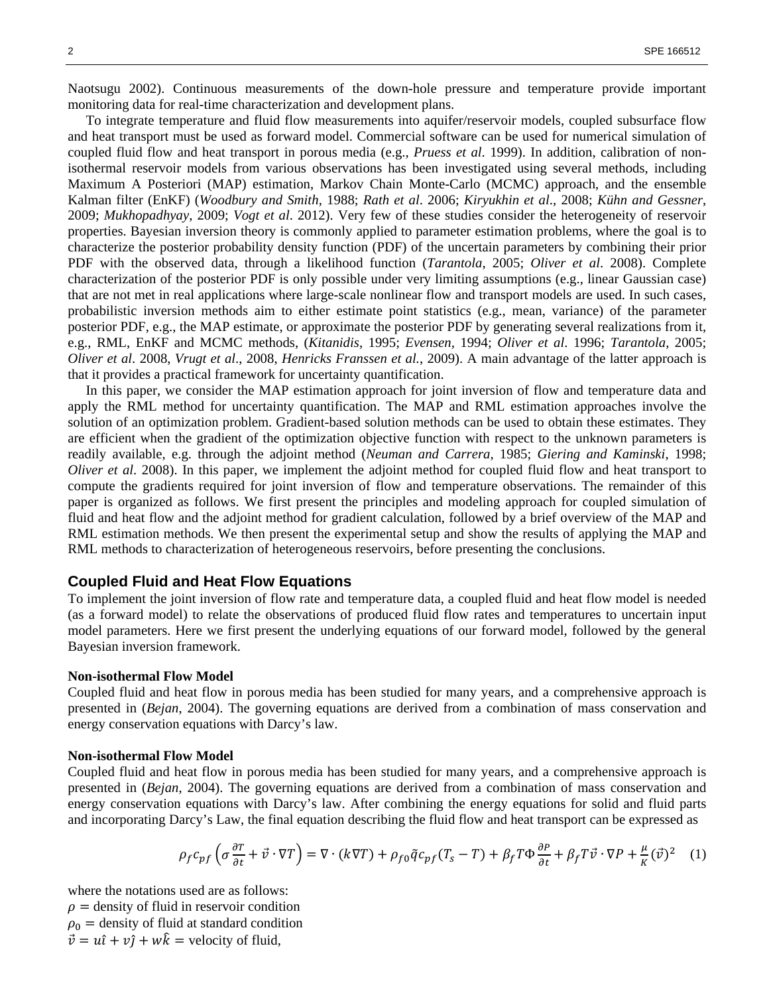Naotsugu 2002). Continuous measurements of the down-hole pressure and temperature provide important monitoring data for real-time characterization and development plans.

To integrate temperature and fluid flow measurements into aquifer/reservoir models, coupled subsurface flow and heat transport must be used as forward model. Commercial software can be used for numerical simulation of coupled fluid flow and heat transport in porous media (e.g., *Pruess et al*. 1999). In addition, calibration of nonisothermal reservoir models from various observations has been investigated using several methods, including Maximum A Posteriori (MAP) estimation, Markov Chain Monte-Carlo (MCMC) approach, and the ensemble Kalman filter (EnKF) (*Woodbury and Smith*, 1988; *Rath et al*. 2006; *Kiryukhin et al*., 2008; *Kühn and Gessner*, 2009; *Mukhopadhyay*, 2009; *Vogt et al*. 2012). Very few of these studies consider the heterogeneity of reservoir properties. Bayesian inversion theory is commonly applied to parameter estimation problems, where the goal is to characterize the posterior probability density function (PDF) of the uncertain parameters by combining their prior PDF with the observed data, through a likelihood function (*Tarantola*, 2005; *Oliver et al*. 2008). Complete characterization of the posterior PDF is only possible under very limiting assumptions (e.g., linear Gaussian case) that are not met in real applications where large-scale nonlinear flow and transport models are used. In such cases, probabilistic inversion methods aim to either estimate point statistics (e.g., mean, variance) of the parameter posterior PDF, e.g., the MAP estimate, or approximate the posterior PDF by generating several realizations from it, e.g., RML, EnKF and MCMC methods, (*Kitanidis*, 1995; *Evensen*, 1994; *Oliver et al*. 1996; *Tarantola*, 2005; *Oliver et al*. 2008, *Vrugt et al*., 2008, *Henricks Franssen et al.*, 2009). A main advantage of the latter approach is that it provides a practical framework for uncertainty quantification.

In this paper, we consider the MAP estimation approach for joint inversion of flow and temperature data and apply the RML method for uncertainty quantification. The MAP and RML estimation approaches involve the solution of an optimization problem. Gradient-based solution methods can be used to obtain these estimates. They are efficient when the gradient of the optimization objective function with respect to the unknown parameters is readily available, e.g. through the adjoint method (*Neuman and Carrera,* 1985; *Giering and Kaminski*, 1998; *Oliver et al*. 2008). In this paper, we implement the adjoint method for coupled fluid flow and heat transport to compute the gradients required for joint inversion of flow and temperature observations. The remainder of this paper is organized as follows. We first present the principles and modeling approach for coupled simulation of fluid and heat flow and the adjoint method for gradient calculation, followed by a brief overview of the MAP and RML estimation methods. We then present the experimental setup and show the results of applying the MAP and RML methods to characterization of heterogeneous reservoirs, before presenting the conclusions.

#### **Coupled Fluid and Heat Flow Equations**

To implement the joint inversion of flow rate and temperature data, a coupled fluid and heat flow model is needed (as a forward model) to relate the observations of produced fluid flow rates and temperatures to uncertain input model parameters. Here we first present the underlying equations of our forward model, followed by the general Bayesian inversion framework.

#### **Non-isothermal Flow Model**

Coupled fluid and heat flow in porous media has been studied for many years, and a comprehensive approach is presented in (*Bejan*, 2004). The governing equations are derived from a combination of mass conservation and energy conservation equations with Darcy's law.

#### **Non-isothermal Flow Model**

Coupled fluid and heat flow in porous media has been studied for many years, and a comprehensive approach is presented in (*Bejan*, 2004). The governing equations are derived from a combination of mass conservation and energy conservation equations with Darcy's law. After combining the energy equations for solid and fluid parts and incorporating Darcy's Law, the final equation describing the fluid flow and heat transport can be expressed as

$$
\rho_f c_{pf} \left( \sigma \frac{\partial T}{\partial t} + \vec{v} \cdot \nabla T \right) = \nabla \cdot (k \nabla T) + \rho_{f0} \tilde{q} c_{pf} (T_s - T) + \beta_f T \Phi \frac{\partial P}{\partial t} + \beta_f T \vec{v} \cdot \nabla P + \frac{\mu}{K} (\vec{v})^2 \tag{1}
$$

where the notations used are as follows:  $\rho$  = density of fluid in reservoir condition  $\rho_0$  = density of fluid at standard condition  $\vec{v} = u\hat{i} + v\hat{j} + w\hat{k}$  = velocity of fluid,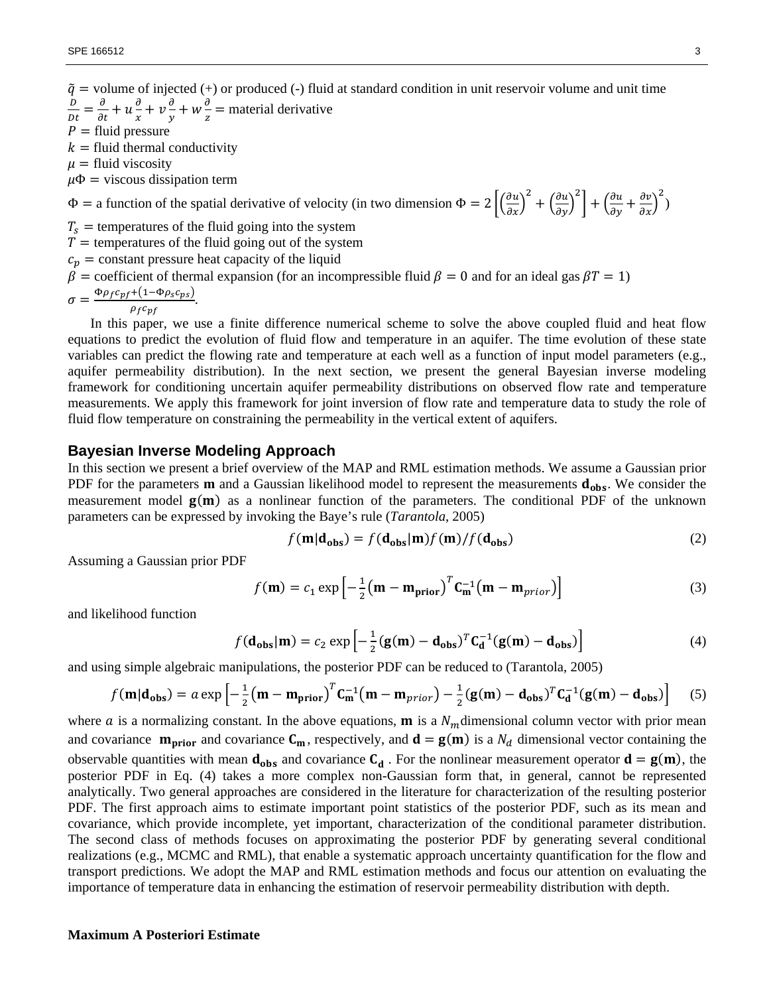$\tilde{q}$  = volume of injected (+) or produced (-) fluid at standard condition in unit reservoir volume and unit time  $\frac{\partial}{\partial t}$  =  $\frac{\partial}{\partial t}$  +  $u \frac{\partial}{\partial x}$  +  $v \frac{\partial}{\partial y}$ +  $w \frac{\partial}{\partial z}$  = material derivative  $P =$  fluid pressure  $k =$  fluid thermal conductivity  $\mu$  = fluid viscosity  $\mu \Phi =$  viscous dissipation term  $\Phi =$  a function of the spatial derivative of velocity (in two dimension  $\Phi = 2\left[\left(\frac{\partial u}{\partial x}\right)^2 + \left(\frac{\partial u}{\partial y}\right)^2\right] + \left(\frac{\partial u}{\partial y} + \frac{\partial v}{\partial x}\right)^2$ )  $T_s$  = temperatures of the fluid going into the system  $T =$  temperatures of the fluid going out of the system  $c_p$  = constant pressure heat capacity of the liquid  $\beta$  = coefficient of thermal expansion (for an incompressible fluid  $\beta$  = 0 and for an ideal gas  $\beta$ T = 1)

$$
\sigma = \frac{\Phi \rho_f c_{pf} + (1 - \Phi \rho_s c_{ps})}{\rho_f c_{pf}}.
$$

In this paper, we use a finite difference numerical scheme to solve the above coupled fluid and heat flow equations to predict the evolution of fluid flow and temperature in an aquifer. The time evolution of these state variables can predict the flowing rate and temperature at each well as a function of input model parameters (e.g., aquifer permeability distribution). In the next section, we present the general Bayesian inverse modeling framework for conditioning uncertain aquifer permeability distributions on observed flow rate and temperature measurements. We apply this framework for joint inversion of flow rate and temperature data to study the role of fluid flow temperature on constraining the permeability in the vertical extent of aquifers.

#### **Bayesian Inverse Modeling Approach**

In this section we present a brief overview of the MAP and RML estimation methods. We assume a Gaussian prior PDF for the parameters **m** and a Gaussian likelihood model to represent the measurements  $\mathbf{d}_{obs}$ . We consider the measurement model  $g(m)$  as a nonlinear function of the parameters. The conditional PDF of the unknown parameters can be expressed by invoking the Baye's rule (*Tarantola*, 2005)

$$
f(\mathbf{m}|\mathbf{d}_{\mathbf{obs}}) = f(\mathbf{d}_{\mathbf{obs}}|\mathbf{m})f(\mathbf{m})/f(\mathbf{d}_{\mathbf{obs}})
$$
 (2)

Assuming a Gaussian prior PDF

$$
f(\mathbf{m}) = c_1 \exp\left[-\frac{1}{2}(\mathbf{m} - \mathbf{m}_{\text{prior}})^T \mathbf{C}_{\mathbf{m}}^{-1}(\mathbf{m} - \mathbf{m}_{prior})\right]
$$
(3)

and likelihood function

$$
f(\mathbf{d}_{\mathbf{obs}}|\mathbf{m}) = c_2 \exp\left[-\frac{1}{2}(\mathbf{g}(\mathbf{m}) - \mathbf{d}_{\mathbf{obs}})^T \mathbf{C}_{\mathbf{d}}^{-1} (\mathbf{g}(\mathbf{m}) - \mathbf{d}_{\mathbf{obs}})\right]
$$
(4)

and using simple algebraic manipulations, the posterior PDF can be reduced to (Tarantola, 2005)

$$
f(\mathbf{m}|\mathbf{d}_{\mathbf{obs}}) = a \exp\left[-\frac{1}{2}(\mathbf{m} - \mathbf{m}_{\text{prior}})^T \mathbf{C}_{\mathbf{m}}^{-1}(\mathbf{m} - \mathbf{m}_{\text{prior}}) - \frac{1}{2}(\mathbf{g}(\mathbf{m}) - \mathbf{d}_{\mathbf{obs}})^T \mathbf{C}_{\mathbf{d}}^{-1}(\mathbf{g}(\mathbf{m}) - \mathbf{d}_{\mathbf{obs}})\right]
$$
(5)

where *a* is a normalizing constant. In the above equations, **m** is a  $N_m$ dimensional column vector with prior mean and covariance  $\mathbf{m}_{prior}$  and covariance  $\mathbf{C}_m$ , respectively, and  $\mathbf{d} = \mathbf{g}(\mathbf{m})$  is a  $N_d$  dimensional vector containing the observable quantities with mean  $\mathbf{d}_{obs}$  and covariance  $\mathbf{C}_{d}$ . For the nonlinear measurement operator  $\mathbf{d} = \mathbf{g}(\mathbf{m})$ , the posterior PDF in Eq. (4) takes a more complex non-Gaussian form that, in general, cannot be represented analytically. Two general approaches are considered in the literature for characterization of the resulting posterior PDF. The first approach aims to estimate important point statistics of the posterior PDF, such as its mean and covariance, which provide incomplete, yet important, characterization of the conditional parameter distribution. The second class of methods focuses on approximating the posterior PDF by generating several conditional realizations (e.g., MCMC and RML), that enable a systematic approach uncertainty quantification for the flow and transport predictions. We adopt the MAP and RML estimation methods and focus our attention on evaluating the importance of temperature data in enhancing the estimation of reservoir permeability distribution with depth.

#### **Maximum A Posteriori Estimate**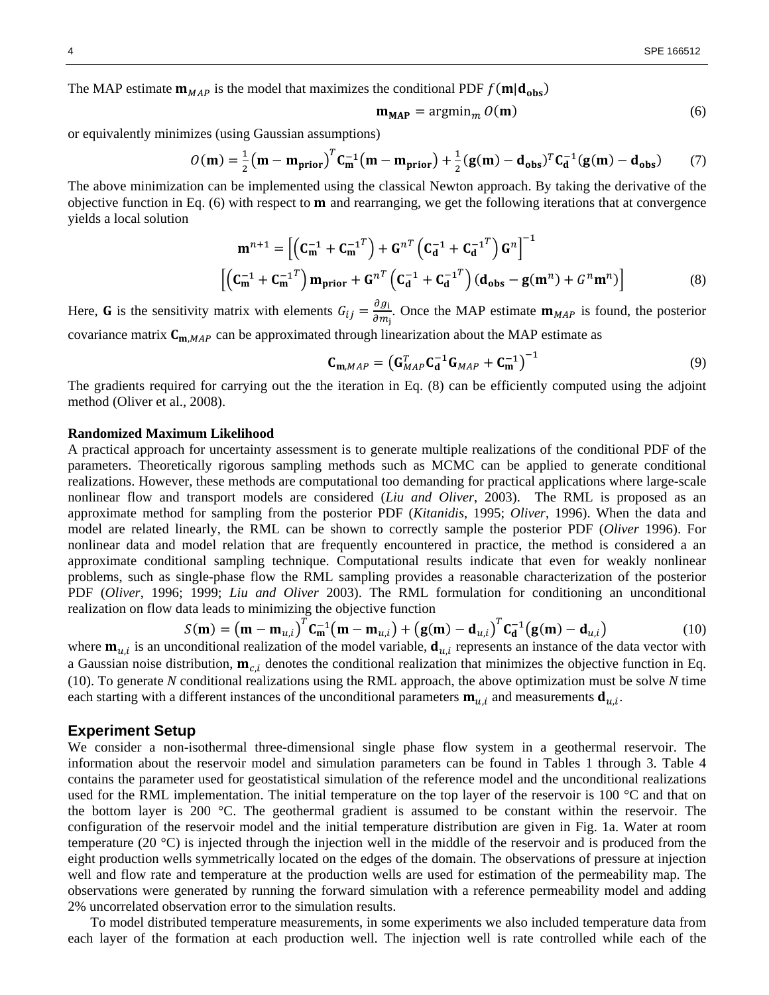The MAP estimate  $m_{MAP}$  is the model that maximizes the conditional PDF  $f(m|d_{obs})$ 

$$
\mathbf{m}_{\mathbf{MAP}} = \operatorname{argmin}_{m} O(\mathbf{m})
$$
 (6)

or equivalently minimizes (using Gaussian assumptions)

$$
O(\mathbf{m}) = \frac{1}{2} \left( \mathbf{m} - \mathbf{m}_{\text{prior}} \right)^T \mathbf{C}_{\mathbf{m}}^{-1} \left( \mathbf{m} - \mathbf{m}_{\text{prior}} \right) + \frac{1}{2} (\mathbf{g}(\mathbf{m}) - \mathbf{d}_{\text{obs}})^T \mathbf{C}_{\mathbf{d}}^{-1} (\mathbf{g}(\mathbf{m}) - \mathbf{d}_{\text{obs}}) \tag{7}
$$

The above minimization can be implemented using the classical Newton approach. By taking the derivative of the objective function in Eq. (6) with respect to and rearranging, we get the following iterations that at convergence yields a local solution

$$
\mathbf{m}^{n+1} = \left[ \left( \mathbf{C}_{\mathbf{m}}^{-1} + \mathbf{C}_{\mathbf{m}}^{-1} \right)^{T} + \mathbf{G}^{n} \left( \mathbf{C}_{\mathbf{d}}^{-1} + \mathbf{C}_{\mathbf{d}}^{-1} \right)^{T} \mathbf{G}^{n} \right]^{-1}
$$
  

$$
\left[ \left( \mathbf{C}_{\mathbf{m}}^{-1} + \mathbf{C}_{\mathbf{m}}^{-1} \right)^{T} \mathbf{m}_{\text{prior}} + \mathbf{G}^{n} \left( \mathbf{C}_{\mathbf{d}}^{-1} + \mathbf{C}_{\mathbf{d}}^{-1} \right)^{T} \left( \mathbf{d}_{\text{obs}} - \mathbf{g}(\mathbf{m}^{n}) + G^{n} \mathbf{m}^{n} \right) \right]
$$
(8)

Here, **G** is the sensitivity matrix with elements  $G_{ij} = \frac{\partial g_i}{\partial m_j}$ . Once the MAP estimate  $\mathbf{m}_{MAP}$  is found, the posterior covariance matrix  $C_{m,MAP}$  can be approximated through linearization about the MAP estimate as

$$
\mathbf{C}_{\mathbf{m},MAP} = \left(\mathbf{G}_{MAP}^{T}\mathbf{C}_{\mathbf{d}}^{-1}\mathbf{G}_{MAP} + \mathbf{C}_{\mathbf{m}}^{-1}\right)^{-1}
$$
(9)

The gradients required for carrying out the the iteration in Eq. (8) can be efficiently computed using the adjoint method (Oliver et al., 2008).

#### **Randomized Maximum Likelihood**

A practical approach for uncertainty assessment is to generate multiple realizations of the conditional PDF of the parameters. Theoretically rigorous sampling methods such as MCMC can be applied to generate conditional realizations. However, these methods are computational too demanding for practical applications where large-scale nonlinear flow and transport models are considered (*Liu and Oliver*, 2003). The RML is proposed as an approximate method for sampling from the posterior PDF (*Kitanidis*, 1995; *Oliver*, 1996). When the data and model are related linearly, the RML can be shown to correctly sample the posterior PDF (*Oliver* 1996). For nonlinear data and model relation that are frequently encountered in practice, the method is considered a an approximate conditional sampling technique. Computational results indicate that even for weakly nonlinear problems, such as single-phase flow the RML sampling provides a reasonable characterization of the posterior PDF (*Oliver*, 1996; 1999; *Liu and Oliver* 2003). The RML formulation for conditioning an unconditional realization on flow data leads to minimizing the objective function

$$
S(\mathbf{m}) = (\mathbf{m} - \mathbf{m}_{u,i})^T \mathbf{C}_{\mathbf{m}}^{-1} (\mathbf{m} - \mathbf{m}_{u,i}) + (\mathbf{g}(\mathbf{m}) - \mathbf{d}_{u,i})^T \mathbf{C}_{\mathbf{d}}^{-1} (\mathbf{g}(\mathbf{m}) - \mathbf{d}_{u,i})
$$
(10)

where  $m_{u,i}$  is an unconditional realization of the model variable,  $d_{u,i}$  represents an instance of the data vector with a Gaussian noise distribution,  $\mathbf{m}_{c,i}$  denotes the conditional realization that minimizes the objective function in Eq. (10). To generate *N* conditional realizations using the RML approach, the above optimization must be solve *N* time each starting with a different instances of the unconditional parameters  $m_{u,i}$  and measurements  $d_{u,i}$ .

#### **Experiment Setup**

We consider a non-isothermal three-dimensional single phase flow system in a geothermal reservoir. The information about the reservoir model and simulation parameters can be found in Tables 1 through 3. Table 4 contains the parameter used for geostatistical simulation of the reference model and the unconditional realizations used for the RML implementation. The initial temperature on the top layer of the reservoir is 100 °C and that on the bottom layer is 200 °C. The geothermal gradient is assumed to be constant within the reservoir. The configuration of the reservoir model and the initial temperature distribution are given in Fig. 1a. Water at room temperature (20 °C) is injected through the injection well in the middle of the reservoir and is produced from the eight production wells symmetrically located on the edges of the domain. The observations of pressure at injection well and flow rate and temperature at the production wells are used for estimation of the permeability map. The observations were generated by running the forward simulation with a reference permeability model and adding 2% uncorrelated observation error to the simulation results.

To model distributed temperature measurements, in some experiments we also included temperature data from each layer of the formation at each production well. The injection well is rate controlled while each of the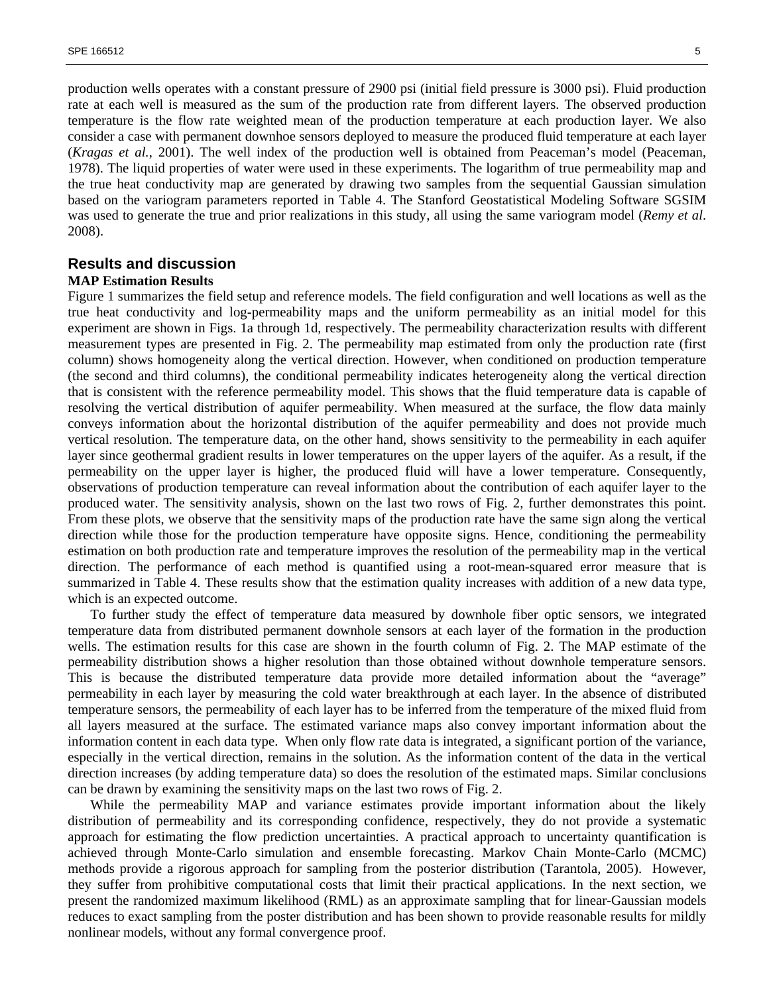production wells operates with a constant pressure of 2900 psi (initial field pressure is 3000 psi). Fluid production rate at each well is measured as the sum of the production rate from different layers. The observed production temperature is the flow rate weighted mean of the production temperature at each production layer. We also consider a case with permanent downhoe sensors deployed to measure the produced fluid temperature at each layer (*Kragas et al.*, 2001). The well index of the production well is obtained from Peaceman's model (Peaceman, 1978). The liquid properties of water were used in these experiments. The logarithm of true permeability map and the true heat conductivity map are generated by drawing two samples from the sequential Gaussian simulation based on the variogram parameters reported in Table 4. The Stanford Geostatistical Modeling Software SGSIM was used to generate the true and prior realizations in this study, all using the same variogram model (*Remy et al*. 2008).

## **Results and discussion**

#### **MAP Estimation Results**

Figure 1 summarizes the field setup and reference models. The field configuration and well locations as well as the true heat conductivity and log-permeability maps and the uniform permeability as an initial model for this experiment are shown in Figs. 1a through 1d, respectively. The permeability characterization results with different measurement types are presented in Fig. 2. The permeability map estimated from only the production rate (first column) shows homogeneity along the vertical direction. However, when conditioned on production temperature (the second and third columns), the conditional permeability indicates heterogeneity along the vertical direction that is consistent with the reference permeability model. This shows that the fluid temperature data is capable of resolving the vertical distribution of aquifer permeability. When measured at the surface, the flow data mainly conveys information about the horizontal distribution of the aquifer permeability and does not provide much vertical resolution. The temperature data, on the other hand, shows sensitivity to the permeability in each aquifer layer since geothermal gradient results in lower temperatures on the upper layers of the aquifer. As a result, if the permeability on the upper layer is higher, the produced fluid will have a lower temperature. Consequently, observations of production temperature can reveal information about the contribution of each aquifer layer to the produced water. The sensitivity analysis, shown on the last two rows of Fig. 2, further demonstrates this point. From these plots, we observe that the sensitivity maps of the production rate have the same sign along the vertical direction while those for the production temperature have opposite signs. Hence, conditioning the permeability estimation on both production rate and temperature improves the resolution of the permeability map in the vertical direction. The performance of each method is quantified using a root-mean-squared error measure that is summarized in Table 4. These results show that the estimation quality increases with addition of a new data type, which is an expected outcome.

To further study the effect of temperature data measured by downhole fiber optic sensors, we integrated temperature data from distributed permanent downhole sensors at each layer of the formation in the production wells. The estimation results for this case are shown in the fourth column of Fig. 2. The MAP estimate of the permeability distribution shows a higher resolution than those obtained without downhole temperature sensors. This is because the distributed temperature data provide more detailed information about the "average" permeability in each layer by measuring the cold water breakthrough at each layer. In the absence of distributed temperature sensors, the permeability of each layer has to be inferred from the temperature of the mixed fluid from all layers measured at the surface. The estimated variance maps also convey important information about the information content in each data type. When only flow rate data is integrated, a significant portion of the variance, especially in the vertical direction, remains in the solution. As the information content of the data in the vertical direction increases (by adding temperature data) so does the resolution of the estimated maps. Similar conclusions can be drawn by examining the sensitivity maps on the last two rows of Fig. 2.

While the permeability MAP and variance estimates provide important information about the likely distribution of permeability and its corresponding confidence, respectively, they do not provide a systematic approach for estimating the flow prediction uncertainties. A practical approach to uncertainty quantification is achieved through Monte-Carlo simulation and ensemble forecasting. Markov Chain Monte-Carlo (MCMC) methods provide a rigorous approach for sampling from the posterior distribution (Tarantola, 2005). However, they suffer from prohibitive computational costs that limit their practical applications. In the next section, we present the randomized maximum likelihood (RML) as an approximate sampling that for linear-Gaussian models reduces to exact sampling from the poster distribution and has been shown to provide reasonable results for mildly nonlinear models, without any formal convergence proof.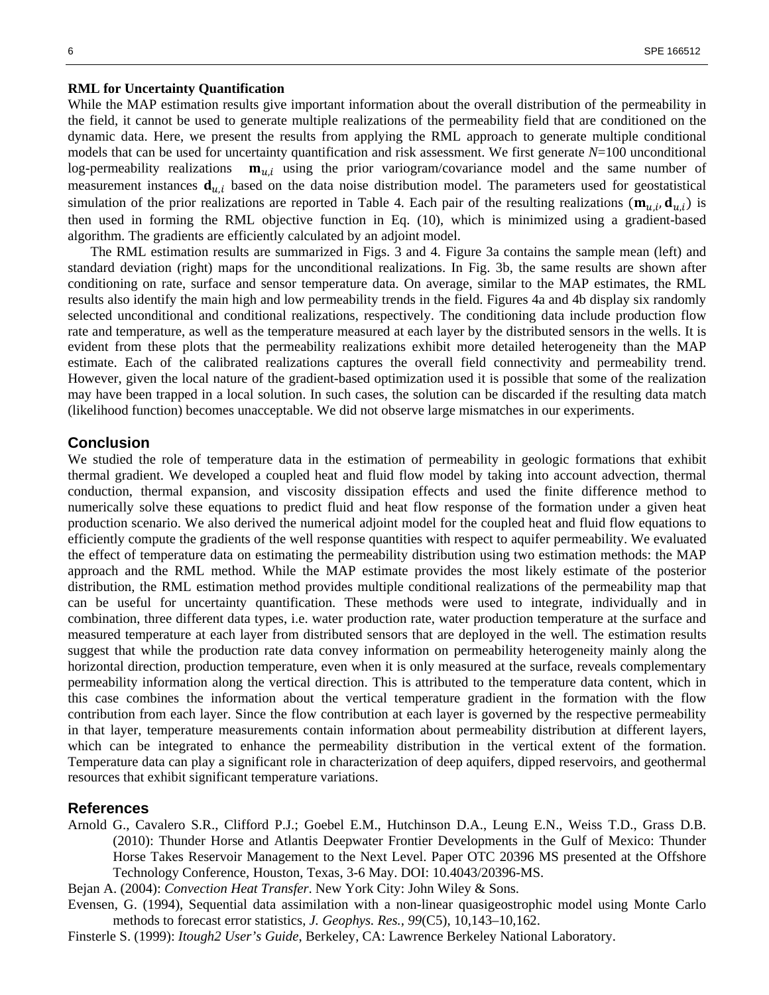#### **RML for Uncertainty Quantification**

While the MAP estimation results give important information about the overall distribution of the permeability in the field, it cannot be used to generate multiple realizations of the permeability field that are conditioned on the dynamic data. Here, we present the results from applying the RML approach to generate multiple conditional models that can be used for uncertainty quantification and risk assessment. We first generate *N*=100 unconditional log-permeability realizations  $\mathbf{m}_{u,i}$  using the prior variogram/covariance model and the same number of measurement instances  $\mathbf{d}_{ui}$  based on the data noise distribution model. The parameters used for geostatistical simulation of the prior realizations are reported in Table 4. Each pair of the resulting realizations  $(\mathbf{m}_{u,i}, \mathbf{d}_{u,i})$  is then used in forming the RML objective function in Eq. (10), which is minimized using a gradient-based algorithm. The gradients are efficiently calculated by an adjoint model.

The RML estimation results are summarized in Figs. 3 and 4. Figure 3a contains the sample mean (left) and standard deviation (right) maps for the unconditional realizations. In Fig. 3b, the same results are shown after conditioning on rate, surface and sensor temperature data. On average, similar to the MAP estimates, the RML results also identify the main high and low permeability trends in the field. Figures 4a and 4b display six randomly selected unconditional and conditional realizations, respectively. The conditioning data include production flow rate and temperature, as well as the temperature measured at each layer by the distributed sensors in the wells. It is evident from these plots that the permeability realizations exhibit more detailed heterogeneity than the MAP estimate. Each of the calibrated realizations captures the overall field connectivity and permeability trend. However, given the local nature of the gradient-based optimization used it is possible that some of the realization may have been trapped in a local solution. In such cases, the solution can be discarded if the resulting data match (likelihood function) becomes unacceptable. We did not observe large mismatches in our experiments.

### **Conclusion**

We studied the role of temperature data in the estimation of permeability in geologic formations that exhibit thermal gradient. We developed a coupled heat and fluid flow model by taking into account advection, thermal conduction, thermal expansion, and viscosity dissipation effects and used the finite difference method to numerically solve these equations to predict fluid and heat flow response of the formation under a given heat production scenario. We also derived the numerical adjoint model for the coupled heat and fluid flow equations to efficiently compute the gradients of the well response quantities with respect to aquifer permeability. We evaluated the effect of temperature data on estimating the permeability distribution using two estimation methods: the MAP approach and the RML method. While the MAP estimate provides the most likely estimate of the posterior distribution, the RML estimation method provides multiple conditional realizations of the permeability map that can be useful for uncertainty quantification. These methods were used to integrate, individually and in combination, three different data types, i.e. water production rate, water production temperature at the surface and measured temperature at each layer from distributed sensors that are deployed in the well. The estimation results suggest that while the production rate data convey information on permeability heterogeneity mainly along the horizontal direction, production temperature, even when it is only measured at the surface, reveals complementary permeability information along the vertical direction. This is attributed to the temperature data content, which in this case combines the information about the vertical temperature gradient in the formation with the flow contribution from each layer. Since the flow contribution at each layer is governed by the respective permeability in that layer, temperature measurements contain information about permeability distribution at different layers, which can be integrated to enhance the permeability distribution in the vertical extent of the formation. Temperature data can play a significant role in characterization of deep aquifers, dipped reservoirs, and geothermal resources that exhibit significant temperature variations.

#### **References**

Arnold G., Cavalero S.R., Clifford P.J.; Goebel E.M., Hutchinson D.A., Leung E.N., Weiss T.D., Grass D.B. (2010): Thunder Horse and Atlantis Deepwater Frontier Developments in the Gulf of Mexico: Thunder Horse Takes Reservoir Management to the Next Level. Paper OTC 20396 MS presented at the Offshore Technology Conference, Houston, Texas, 3-6 May. DOI: 10.4043/20396-MS.

Bejan A. (2004): *Convection Heat Transfer*. New York City: John Wiley & Sons.

- Evensen, G. (1994), Sequential data assimilation with a non-linear quasigeostrophic model using Monte Carlo methods to forecast error statistics, *J. Geophys. Res., 99*(C5), 10,143–10,162.
- Finsterle S. (1999): *Itough2 User's Guide*, Berkeley, CA: Lawrence Berkeley National Laboratory.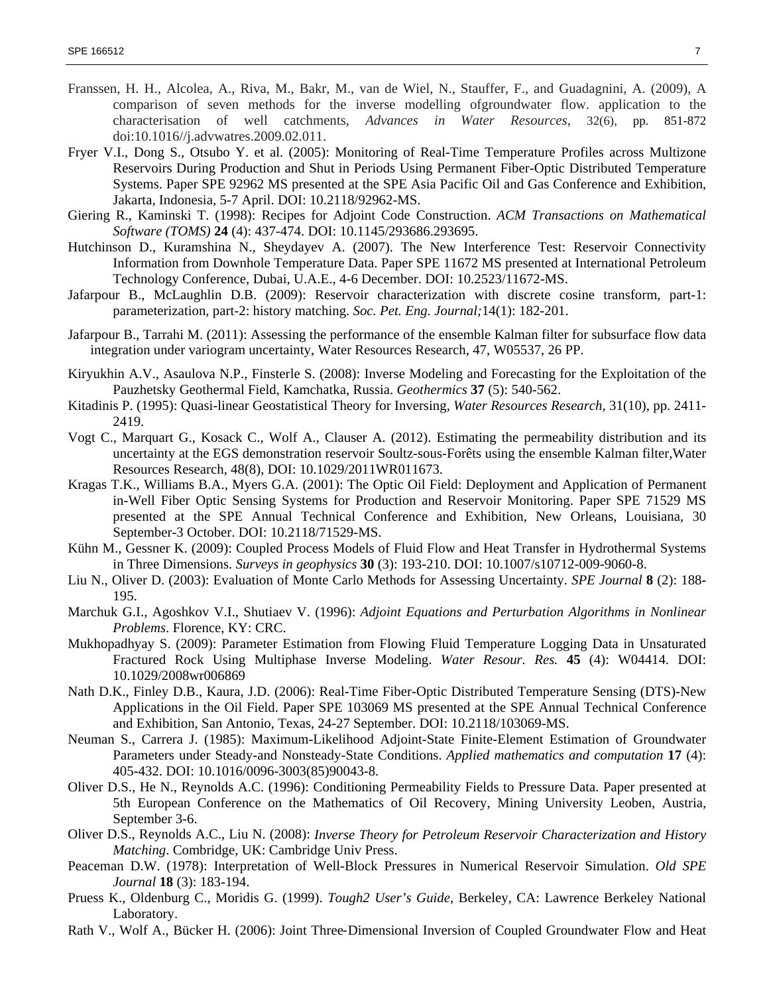- Franssen, H. H., Alcolea, A., Riva, M., Bakr, M., van de Wiel, N., Stauffer, F., and Guadagnini, A. (2009), A comparison of seven methods for the inverse modelling ofgroundwater flow. application to the characterisation of well catchments, *Advances in Water Resources*, 32(6), pp. 851-872 doi:10.1016//j.advwatres.2009.02.011.
- Fryer V.I., Dong S., Otsubo Y. et al. (2005): Monitoring of Real-Time Temperature Profiles across Multizone Reservoirs During Production and Shut in Periods Using Permanent Fiber-Optic Distributed Temperature Systems. Paper SPE 92962 MS presented at the SPE Asia Pacific Oil and Gas Conference and Exhibition, Jakarta, Indonesia, 5-7 April. DOI: 10.2118/92962-MS.
- Giering R., Kaminski T. (1998): Recipes for Adjoint Code Construction. *ACM Transactions on Mathematical Software (TOMS)* **24** (4): 437-474. DOI: 10.1145/293686.293695.
- Hutchinson D., Kuramshina N., Sheydayev A. (2007). The New Interference Test: Reservoir Connectivity Information from Downhole Temperature Data. Paper SPE 11672 MS presented at International Petroleum Technology Conference, Dubai, U.A.E., 4-6 December. DOI: 10.2523/11672-MS.
- Jafarpour B., McLaughlin D.B. (2009): Reservoir characterization with discrete cosine transform, part-1: parameterization, part-2: history matching. *Soc. Pet. Eng. Journal;*14(1): 182-201.
- Jafarpour B., Tarrahi M. (2011): Assessing the performance of the ensemble Kalman filter for subsurface flow data integration under variogram uncertainty, Water Resources Research, 47, W05537, 26 PP.
- Kiryukhin A.V., Asaulova N.P., Finsterle S. (2008): Inverse Modeling and Forecasting for the Exploitation of the Pauzhetsky Geothermal Field, Kamchatka, Russia. *Geothermics* **37** (5): 540-562.
- Kitadinis P. (1995): Quasi-linear Geostatistical Theory for Inversing, *Water Resources Research,* 31(10), pp. 2411- 2419.
- Vogt C., Marquart G., Kosack C., Wolf A., Clauser A. (2012). Estimating the permeability distribution and its uncertainty at the EGS demonstration reservoir Soultz-sous-Forêts using the ensemble Kalman filter,Water Resources Research, 48(8), DOI: 10.1029/2011WR011673.
- Kragas T.K., Williams B.A., Myers G.A. (2001): The Optic Oil Field: Deployment and Application of Permanent in-Well Fiber Optic Sensing Systems for Production and Reservoir Monitoring. Paper SPE 71529 MS presented at the SPE Annual Technical Conference and Exhibition, New Orleans, Louisiana, 30 September-3 October. DOI: 10.2118/71529-MS.
- Kühn M., Gessner K. (2009): Coupled Process Models of Fluid Flow and Heat Transfer in Hydrothermal Systems in Three Dimensions. *Surveys in geophysics* **30** (3): 193-210. DOI: 10.1007/s10712-009-9060-8.
- Liu N., Oliver D. (2003): Evaluation of Monte Carlo Methods for Assessing Uncertainty. *SPE Journal* **8** (2): 188- 195.
- Marchuk G.I., Agoshkov V.I., Shutiaev V. (1996): *Adjoint Equations and Perturbation Algorithms in Nonlinear Problems*. Florence, KY: CRC.
- Mukhopadhyay S. (2009): Parameter Estimation from Flowing Fluid Temperature Logging Data in Unsaturated Fractured Rock Using Multiphase Inverse Modeling. *Water Resour. Res.* **45** (4): W04414. DOI: 10.1029/2008wr006869
- Nath D.K., Finley D.B., Kaura, J.D. (2006): Real-Time Fiber-Optic Distributed Temperature Sensing (DTS)-New Applications in the Oil Field. Paper SPE 103069 MS presented at the SPE Annual Technical Conference and Exhibition, San Antonio, Texas, 24-27 September. DOI: 10.2118/103069-MS.
- Neuman S., Carrera J. (1985): Maximum-Likelihood Adjoint-State Finite-Element Estimation of Groundwater Parameters under Steady-and Nonsteady-State Conditions. *Applied mathematics and computation* **17** (4): 405-432. DOI: 10.1016/0096-3003(85)90043-8.
- Oliver D.S., He N., Reynolds A.C. (1996): Conditioning Permeability Fields to Pressure Data. Paper presented at 5th European Conference on the Mathematics of Oil Recovery, Mining University Leoben, Austria, September 3-6.
- Oliver D.S., Reynolds A.C., Liu N. (2008): *Inverse Theory for Petroleum Reservoir Characterization and History Matching*. Combridge, UK: Cambridge Univ Press.
- Peaceman D.W. (1978): Interpretation of Well-Block Pressures in Numerical Reservoir Simulation. *Old SPE Journal* **18** (3): 183-194.
- Pruess K., Oldenburg C., Moridis G. (1999). *Tough2 User's Guide*, Berkeley, CA: Lawrence Berkeley National Laboratory.
- Rath V., Wolf A., Bücker H. (2006): Joint Three‐Dimensional Inversion of Coupled Groundwater Flow and Heat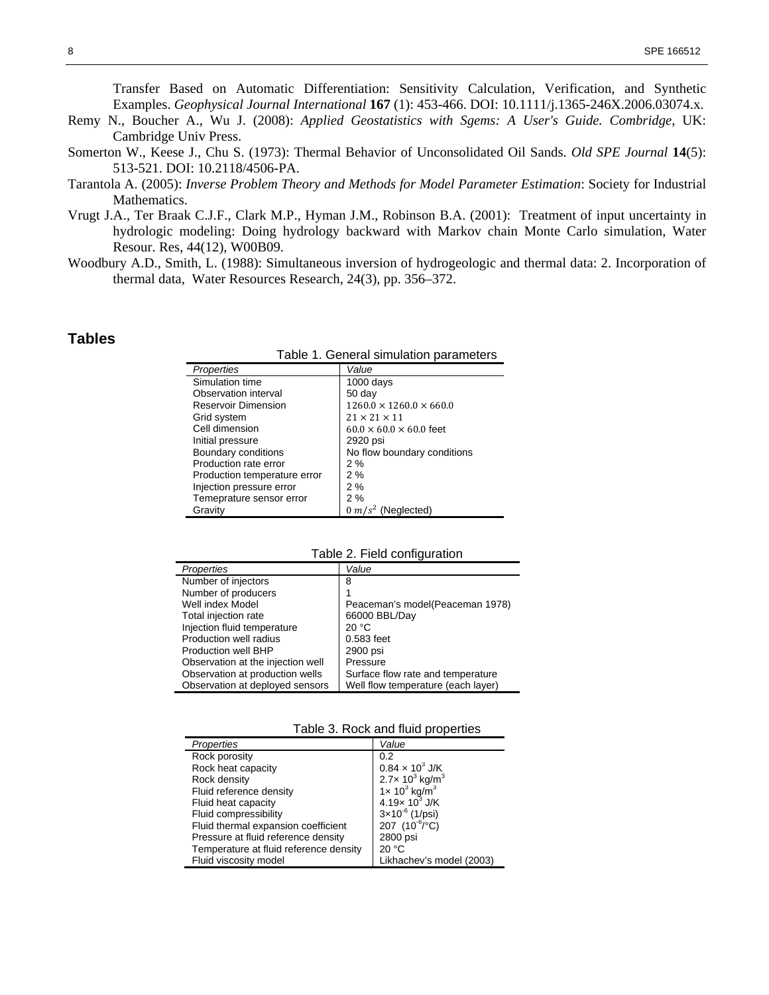Transfer Based on Automatic Differentiation: Sensitivity Calculation, Verification, and Synthetic Examples. *Geophysical Journal International* **167** (1): 453-466. DOI: 10.1111/j.1365-246X.2006.03074.x.

- Remy N., Boucher A., Wu J. (2008): *Applied Geostatistics with Sgems: A User's Guide. Combridge,* UK: Cambridge Univ Press.
- Somerton W., Keese J., Chu S. (1973): Thermal Behavior of Unconsolidated Oil Sands. *Old SPE Journal* **14**(5): 513-521. DOI: 10.2118/4506-PA.
- Tarantola A. (2005): *Inverse Problem Theory and Methods for Model Parameter Estimation*: Society for Industrial Mathematics.
- Vrugt J.A., Ter Braak C.J.F., Clark M.P., Hyman J.M., Robinson B.A. (2001): Treatment of input uncertainty in hydrologic modeling: Doing hydrology backward with Markov chain Monte Carlo simulation, Water Resour. Res, 44(12), W00B09.
- Woodbury A.D., Smith, L. (1988): Simultaneous inversion of hydrogeologic and thermal data: 2. Incorporation of thermal data, Water Resources Research, 24(3), pp. 356–372.

## **Tables**

| Properties                   | Value                               |  |
|------------------------------|-------------------------------------|--|
| Simulation time              | $1000$ days                         |  |
| Observation interval         | $50$ day                            |  |
| <b>Reservoir Dimension</b>   | $1260.0 \times 1260.0 \times 660.0$ |  |
| Grid system                  | $21 \times 21 \times 11$            |  |
| Cell dimension               | $60.0 \times 60.0 \times 60.0$ feet |  |
| Initial pressure             | 2920 psi                            |  |
| Boundary conditions          | No flow boundary conditions         |  |
| Production rate error        | 2%                                  |  |
| Production temperature error | 2%                                  |  |
| Injection pressure error     | 2%                                  |  |
| Temeprature sensor error     | 2%                                  |  |
| Gravity                      | $0 m/s2$ (Neglected)                |  |

Table 1. General simulation parameters

| Properties                        | Value                              |  |
|-----------------------------------|------------------------------------|--|
| Number of injectors               | 8                                  |  |
| Number of producers               |                                    |  |
| Well index Model                  | Peaceman's model(Peaceman 1978)    |  |
| Total injection rate              | 66000 BBL/Day                      |  |
| Injection fluid temperature       | 20 °C                              |  |
| Production well radius            | 0.583 feet                         |  |
| Production well BHP               | 2900 psi                           |  |
| Observation at the injection well | Pressure                           |  |
| Observation at production wells   | Surface flow rate and temperature  |  |
| Observation at deployed sensors   | Well flow temperature (each layer) |  |

Table 3. Rock and fluid properties

| Properties                             | Value                                        |
|----------------------------------------|----------------------------------------------|
| Rock porosity                          | 0.2                                          |
| Rock heat capacity                     | $0.84 \times 10^3$ J/K                       |
| Rock density                           | $2.7 \times 10^3$ kg/m <sup>3</sup>          |
| Fluid reference density                | 1 $\times$ 10 <sup>3</sup> kg/m <sup>3</sup> |
| Fluid heat capacity                    | 4.19 $\times$ 10 <sup>3</sup> J/K            |
| Fluid compressibility                  | $3 \times 10^{-6}$ (1/psi)                   |
| Fluid thermal expansion coefficient    | 207 $(10^{-6}/^{\circ}C)$                    |
| Pressure at fluid reference density    | 2800 psi                                     |
| Temperature at fluid reference density | 20 °C                                        |
| Fluid viscosity model                  | Likhachev's model (2003)                     |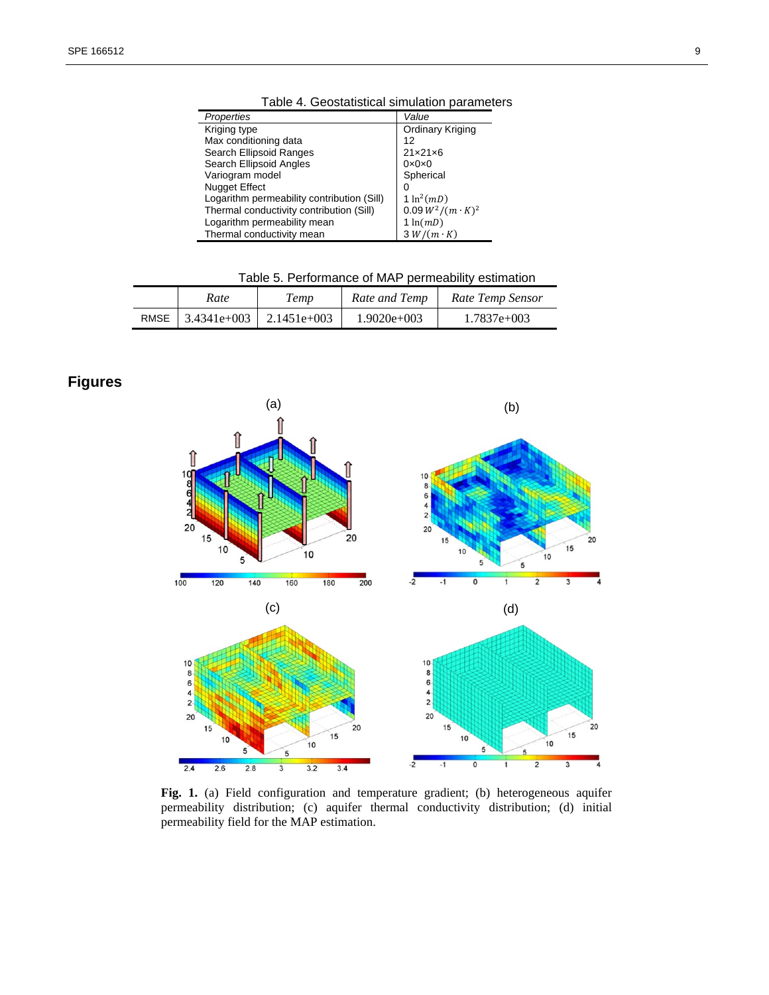| Properties                                 | Value                    |
|--------------------------------------------|--------------------------|
| Kriging type                               | Ordinary Kriging         |
| Max conditioning data                      | 12                       |
| Search Ellipsoid Ranges                    | $21 \times 21 \times 6$  |
| Search Ellipsoid Angles                    | $0 \times 0 \times 0$    |
| Variogram model                            | Spherical                |
| <b>Nugget Effect</b>                       | 0                        |
| Logarithm permeability contribution (Sill) | 1 $\ln^2(mD)$            |
| Thermal conductivity contribution (Sill)   | $0.09 W^2/(m \cdot K)^2$ |
| Logarithm permeability mean                | 1 $ln(mD)$               |
| Thermal conductivity mean                  | $3 W/(m \cdot K)$        |

Table 4. Geostatistical simulation parameters

Table 5. Performance of MAP permeability estimation

| Rate                                 | Temp | Rate and Temp | Rate Temp Sensor |
|--------------------------------------|------|---------------|------------------|
| RMSE   $3.4341e+003$   $2.1451e+003$ |      | $1.9020e+003$ | $1.7837e+003$    |

## **Figures**



**Fig. 1.** (a) Field configuration and temperature gradient; (b) heterogeneous aquifer permeability distribution; (c) aquifer thermal conductivity distribution; (d) initial permeability field for the MAP estimation.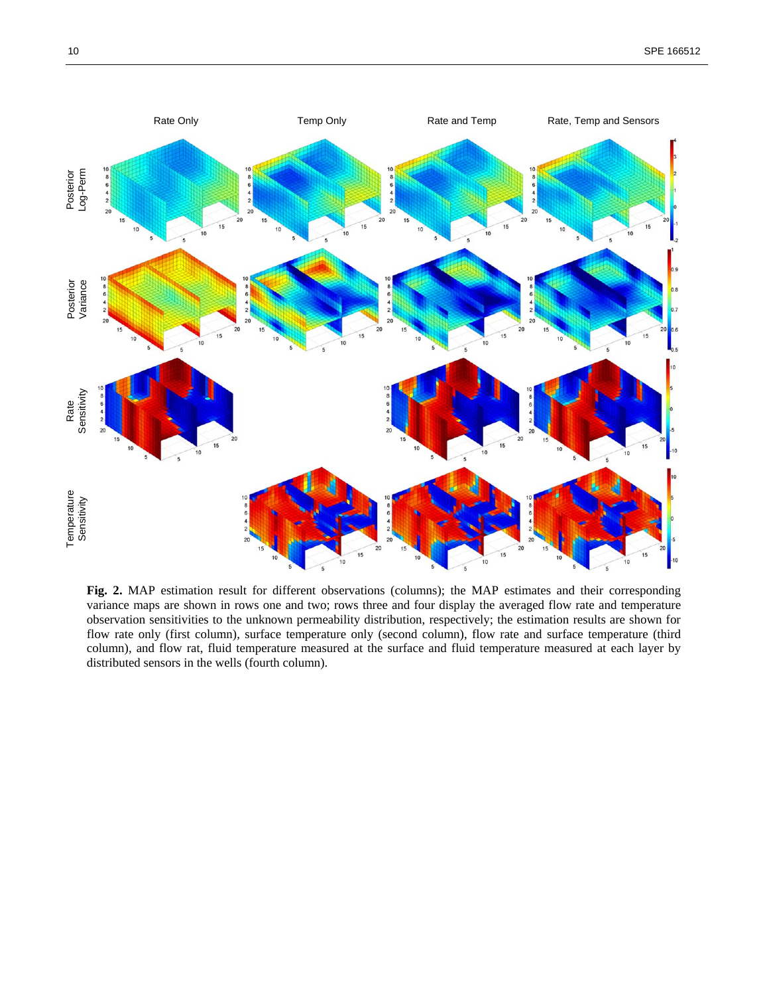

**Fig. 2.** MAP estimation result for different observations (columns); the MAP estimates and their corresponding variance maps are shown in rows one and two; rows three and four display the averaged flow rate and temperature observation sensitivities to the unknown permeability distribution, respectively; the estimation results are shown for flow rate only (first column), surface temperature only (second column), flow rate and surface temperature (third column), and flow rat, fluid temperature measured at the surface and fluid temperature measured at each layer by distributed sensors in the wells (fourth column).